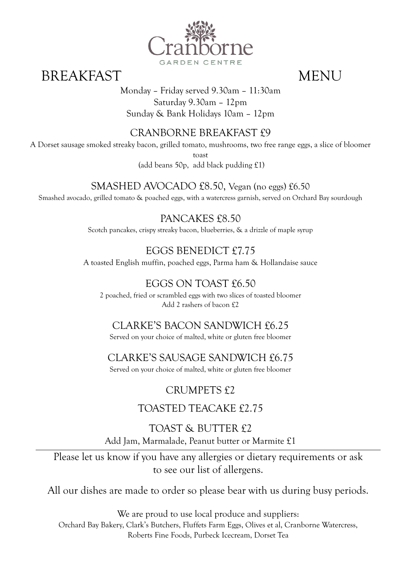

# BREAKFAST MENU

Monday – Friday served 9.30am – 11:30am Saturday 9.30am – 12pm Sunday & Bank Holidays 10am – 12pm

### CRANBORNE BREAKFAST £9

A Dorset sausage smoked streaky bacon, grilled tomato, mushrooms, two free range eggs, a slice of bloomer

toast

(add beans 50p, add black pudding £1)

SMASHED AVOCADO £8.50, Vegan (no eggs) £6.50

Smashed avocado, grilled tomato & poached eggs, with a watercress garnish, served on Orchard Bay sourdough

PANCAKES £8.50 Scotch pancakes, crispy streaky bacon, blueberries, & a drizzle of maple syrup

# EGGS BENEDICT £7.75

A toasted English muffin, poached eggs, Parma ham & Hollandaise sauce

# EGGS ON TOAST £6.50

2 poached, fried or scrambled eggs with two slices of toasted bloomer Add 2 rashers of bacon £2

### CLARKE'S BACON SANDWICH £6.25

Served on your choice of malted, white or gluten free bloomer

# CLARKE'S SAUSAGE SANDWICH £6.75

Served on your choice of malted, white or gluten free bloomer

# CRUMPETS £2

# TOASTED TEACAKE £2.75

TOAST & BUTTER £2 Add Jam, Marmalade, Peanut butter or Marmite £1

Please let us know if you have any allergies or dietary requirements or ask to see our list of allergens.

All our dishes are made to order so please bear with us during busy periods.

We are proud to use local produce and suppliers: Orchard Bay Bakery, Clark's Butchers, Fluffets Farm Eggs, Olives et al, Cranborne Watercress, Roberts Fine Foods, Purbeck Icecream, Dorset Tea